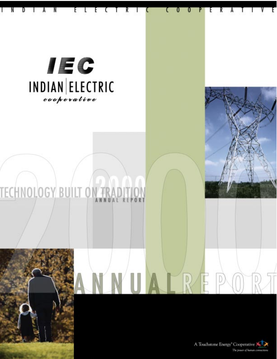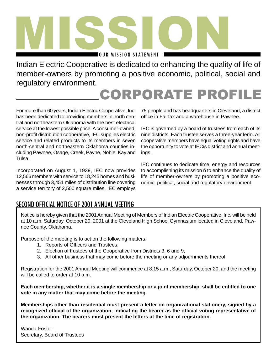![](_page_1_Picture_0.jpeg)

Indian Electric Cooperative is dedicated to enhancing the quality of life of member-owners by promoting a positive economic, political, social and regulatory environment.

### CORPORATE PROFILE

For more than 60 years, Indian Electric Cooperative, Inc. has been dedicated to providing members in north central and northeastern Oklahoma with the best electrical service at the lowest possible price. A consumer-owned, non-profit distribution cooperative, IEC supplies electric service and related products to its members in seven north-central and northeastern Oklahoma counties including Pawnee, Osage, Creek, Payne, Noble, Kay and Tulsa.

Incorporated on August 1, 1939, IEC now provides 12,566 members with service to 18,245 homes and businesses through 3,451 miles of distribution line covering a service territory of 2,500 square miles. IEC employs

75 people and has headquarters in Cleveland, a district office in Fairfax and a warehouse in Pawnee.

IEC is governed by a board of trustees from each of its nine districts. Each trustee serves a three-year term. All cooperative members have equal voting rights and have the opportunity to vote at IECís district and annual meetings.

IEC continues to dedicate time, energy and resources to accomplishing its mission ñ to enhance the quality of life of member-owners by promoting a positive economic, political, social and regulatory environment.

#### SECOND OFFICIAL NOTICE OF 2001 ANNUAL MEETING

Notice is hereby given that the 2001 Annual Meeting of Members of Indian Electric Cooperative, Inc. will be held at 10 a.m. Saturday, October 20, 2001 at the Cleveland High School Gymnasium located in Cleveland, Pawnee County, Oklahoma.

Purpose of the meeting is to act on the following matters;

- 1. Reports of Officers and Trustees;
- 2. Election of trustees of the Cooperative from Districts 3, 6 and 9;
- 3. All other business that may come before the meeting or any adjournments thereof.

Registration for the 2001 Annual Meeting will commence at 8:15 a.m., Saturday, October 20, and the meeting will be called to order at 10 a.m.

**Each membership, whether it is a single membership or a joint membership, shall be entitled to one vote in any matter that may come before the meeting.**

**Memberships other than residential must present a letter on organizational stationery, signed by a recognized official of the organization, indicating the bearer as the official voting representative of the organization. The bearers must present the letters at the time of registration.**

Wanda Foster Secretary, Board of Trustees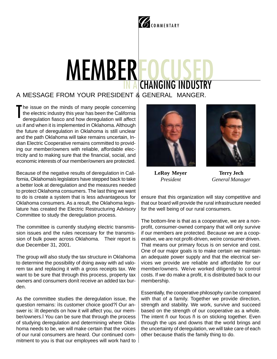## COMMENTARY

## MEMBER **CHANGING INDUST**

#### A MESSAGE FROM YOUR PRESIDENT & GENERAL MANGER.

he issue on the minds of many people concerning the electric industry this year has been the California deregulation fiasco and how deregulation will affect us if and when it is implemented in Oklahoma. Although the future of deregulation in Oklahoma is still unclear and the path Oklahoma will take remains uncertain, Indian Electric Cooperative remains committed to providing our member/owners with reliable, affordable electricity and to making sure that the financial, social, and economic interests of our member/owners are protected. T

Because of the negative results of deregulation in California, Oklahomaís legislators have stepped back to take a better look at deregulation and the measures needed to protect Oklahoma consumers. The last thing we want to do is create a system that is less advantageous for Oklahoma consumers. As a result, the Oklahoma legislature has created the Electric Restructuring Advisory Committee to study the deregulation process.

The committee is currently studying electric transmission issues and the rules necessary for the transmission of bulk power across Oklahoma. Their report is due December 31, 2001.

The group will also study the tax structure in Oklahoma to determine the possibility of doing away with ad valorem tax and replacing it with a gross receipts tax. We want to be sure that through this process, property tax owners and consumers donít receive an added tax burden.

As the committee studies the deregulation issue, the question remains: ìIs customer choice good?î Our answer is: ilt depends on how it will affect you, our member/owners.î You can be sure that through the process of studying deregulation and determining where Oklahoma needs to be, we will make certain that the voices of our rural consumers are heard. Our continued commitment to you is that our employees will work hard to

![](_page_2_Picture_8.jpeg)

![](_page_2_Picture_9.jpeg)

**LeRoy Meyer** *President*

**Terry Jech** *General Manager*

ensure that this organization will stay competitive and that our board will provide the rural infrastructure needed for the well being of our rural consumers.

The bottom-line is that as a cooperative, we are a nonprofit, consumer-owned company that will only survive if our members are protected. Because we are a cooperative, we are not profit-driven, weíre consumer driven. That means our primary focus is on service and cost. One of our major goals is to make certain we maintain an adequate power supply and that the electrical services we provide are reliable and affordable for our member/owners. Weíve worked diligently to control costs. If we do make a profit, it is distributed back to our membership.

Essentially, the cooperative philosophy can be compared with that of a family. Together we provide direction, strength and stability. We work, survive and succeed based on the strength of our cooperative as a whole. The intent ñ our focus ñ is on sticking together. Even through the ups and downs that the world brings and the uncertainty of deregulation, we will take care of each other because thatís the family thing to do.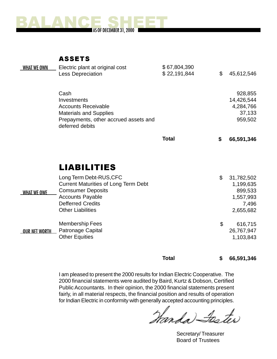![](_page_3_Picture_0.jpeg)

ASSETS

| <b>WHAT WE OWN</b> | Electric plant at original cost                          | \$67,804,390 |                  |
|--------------------|----------------------------------------------------------|--------------|------------------|
|                    | <b>Less Depreciation</b>                                 | \$22,191,844 | \$<br>45,612,546 |
|                    | Cash                                                     |              | 928,855          |
|                    | Investments                                              |              | 14,426,544       |
|                    | <b>Accounts Receivable</b>                               |              | 4,284,766        |
|                    | <b>Materials and Supplies</b>                            |              | 37,133           |
|                    | Prepayments, other accrued assets and<br>deferred debits |              | 959,502          |
|                    |                                                          | <b>Total</b> | \$<br>66,591,346 |
|                    |                                                          |              |                  |

#### LIABILITIES

|               | Long Term Debt-RUS, CFC                     | \$<br>31,782,502 |
|---------------|---------------------------------------------|------------------|
| WHAT WE OWE   | <b>Current Maturities of Long Term Debt</b> | 1,199,635        |
|               | <b>Comsumer Deposits</b>                    | 899,533          |
|               | <b>Accounts Payable</b>                     | 1,557,993        |
|               | <b>Defferred Credits</b>                    | 7,496            |
|               | <b>Other Liabilities</b>                    | 2,655,682        |
| OUR NET WORTH | <b>Membership Fees</b>                      | \$<br>616,715    |
|               | Patronage Capital                           | 26,767,947       |
|               | <b>Other Equities</b>                       | 1,103,843        |
|               |                                             |                  |

**Total \$ 66,591,346**

I am pleased to present the 2000 results for Indian Electric Cooperative. The 2000 financial statements were audited by Baird, Kurtz & Dobson, Certified Public Accountants. In their opinion, the 2000 financial statements present fairly, in all material respects, the financial position and results of operation for Indian Electric in conformity with generally accepted accounting principles.

Manda Sester

Secretary/ Treasurer Board of Trustees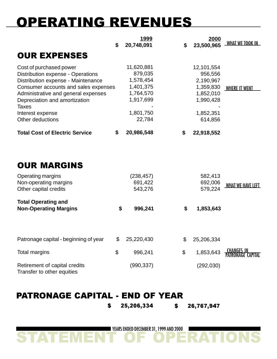## OPERATING REVENUES

|                                                                                                                                                                                                                                    | \$<br><u>1999</u><br>20,748,091                                           | \$<br>2000<br>23,500,965                                                  | <b>WHAT WE TOOK IN</b>                 |
|------------------------------------------------------------------------------------------------------------------------------------------------------------------------------------------------------------------------------------|---------------------------------------------------------------------------|---------------------------------------------------------------------------|----------------------------------------|
| <b>OUR EXPENSES</b>                                                                                                                                                                                                                |                                                                           |                                                                           |                                        |
| Cost of purchased power<br>Distribution expense - Operations<br>Distribution expense - Maintenance<br>Consumer accounts and sales expenses<br>Administrative and general expenses<br>Depreciation and amortization<br><b>Taxes</b> | 11,620,881<br>879,035<br>1,578,454<br>1,401,375<br>1,764,570<br>1,917,699 | 12,101,554<br>956,556<br>2,190,967<br>1,359,830<br>1,852,010<br>1,990,428 | <b>WHERE IT WENT</b>                   |
| Interest expense<br>Other deductions                                                                                                                                                                                               | 1,801,750<br>22,784                                                       | 1,852,351<br>614,856                                                      |                                        |
| <b>Total Cost of Electric Service</b>                                                                                                                                                                                              | \$<br>20,986,548                                                          | \$<br>22,918,552                                                          |                                        |
| <b>OUR MARGINS</b><br>Operating margins                                                                                                                                                                                            | (238, 457)                                                                | 582,413                                                                   |                                        |
| Non-operating margins<br>Other capital credits                                                                                                                                                                                     | 691,422<br>543,276                                                        | 692,006<br>579,224                                                        | <b>WHAT WE HAVE LEFT</b>               |
| <b>Total Operating and</b><br><b>Non-Operating Margins</b>                                                                                                                                                                         | \$<br>996,241                                                             | \$<br>1,853,643                                                           |                                        |
| Patronage capital - beginning of year                                                                                                                                                                                              | \$<br>25,220,430                                                          | \$<br>25,206,334                                                          |                                        |
| <b>Total margins</b>                                                                                                                                                                                                               | \$<br>996,241                                                             | \$<br>1,853,643                                                           | <u>CHANGES IN</u><br>PATRONAGE CAPITAL |
| Retirement of capital credits<br>Transfer to other equities                                                                                                                                                                        | (990, 337)                                                                | (292, 030)                                                                |                                        |

#### PATRONAGE CAPITAL - END OF YEAR

\$ 25,206,334 \$ 26,767,947

STATEMENT OF OPERATIONS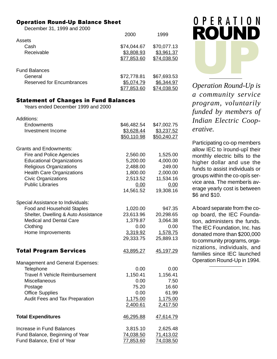#### Operation Round-Up Balance Sheet

December 31, 1999 and 2000

|                           | 2000        | 1999        |
|---------------------------|-------------|-------------|
| Assets                    |             |             |
| Cash                      | \$74,044.67 | \$70,077.13 |
| Receivable                | \$3,808.93  | \$3,961.37  |
|                           | \$77,853.60 | \$74,038.50 |
| <b>Fund Balances</b>      |             |             |
|                           |             |             |
| General                   | \$72,778.81 | \$67,693.53 |
| Reserved for Encumbrances | \$5,074.79  | \$6,344.97  |
|                           | \$77,853.60 | \$74,038.50 |

#### Statement of Changes in Fund Balances

Years ended December 1999 and 2000

| Additions:                              |             |             |
|-----------------------------------------|-------------|-------------|
| Endowments                              | \$46,482.54 | \$47,002.75 |
| <b>Investment Income</b>                | \$3,628.44  | \$3,237.52  |
|                                         | \$50,110.98 | \$50,240.27 |
| <b>Grants and Endowments:</b>           |             |             |
| Fire and Police Agencies                | 2,560.00    | 1,525.00    |
| <b>Educational Organizations</b>        | 5,200.00    | 4,000.00    |
| <b>Religious Organizations</b>          | 2,488.00    | 249.00      |
| <b>Health Care Organizations</b>        | 1,800.00    | 2,000.00    |
| <b>Civic Organizations</b>              | 2,513.52    | 11,534.16   |
| <b>Public Libraries</b>                 | 0.00        | 0.00        |
|                                         | 14,561.52   | 19,308.16   |
| Special Assistance to Individuals:      |             |             |
| Food and Household Staples              | 1,020.00    | 947.35      |
| Shelter, Dwelling & Auto Assistance     | 23,613.96   | 20,298.65   |
| <b>Medical and Dental Care</b>          | 1,379.87    | 3,064.38    |
| Clothing                                | 0.00        | 0.00        |
| Home Improvements                       | 3,319.92    | 1,578.75    |
|                                         | 29,333.75   | 25,889.13   |
| <b>Total Program Services</b>           | 43,895.27   | 45,197.29   |
| <b>Management and General Expenses:</b> |             |             |
| Telephone                               | 0.00        | 0.00        |
| Travel ñ Vehicle Reimbursement          | 1,150.41    | 1,156.41    |
| Miscellaneous                           | 0.00        | 7.50        |
| Postage                                 | 75.20       | 16.60       |
| <b>Office Supplies</b>                  | 0.00        | 61.99       |
| Audit Fees and Tax Preparation          | 1,175.00    | 1,175.00    |
|                                         | 2,400.61    | 2,417.50    |
| <b>Total Expenditures</b>               | 46,295.88   | 47,614.79   |
| Increase in Fund Balances               | 3,815.10    | 2,625.48    |
| Fund Balance, Beginning of Year         | 74,038.50   | 71,413.02   |
| Fund Balance, End of Year               | 77,853.60   | 74,038.50   |

![](_page_5_Picture_6.jpeg)

*Operation Round-Up is a community service program, voluntarily funded by members of Indian Electric Cooperative.*

Participating co-op members allow IEC to ìround-upî their monthly electric bills to the higher dollar and use the funds to assist individuals or groups within the co-opís service area. The memberís average yearly cost is between \$6 and \$10.

A board separate from the coop board, the IEC Foundation, administers the funds. The IEC Foundation, Inc. has donated more than \$200,000 to community programs, organizations, individuals, and families since IEC launched Operation Round-Up in 1994.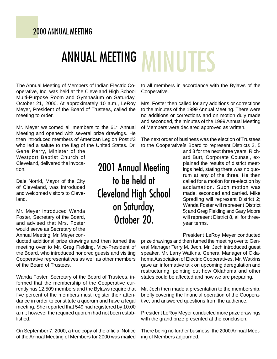#### 2000 ANNUAL MEETING

# ANNUAL MEETING MINUTES

The Annual Meeting of Members of Indian Electric Cooperative, Inc. was held at the Cleveland High School Multi-Purpose Room and Gymnasium on Saturday, October 21, 2000. At approximately 10 a.m., LeRoy Meyer, President of the Board of Trustees, called the meeting to order.

Mr. Meyer welcomed all members to the 61<sup>st</sup> Annual Meeting and opened with several prize drawings. He then introduced members of American Legion Post #3 who led a salute to the flag of the United States. Dr.

Gene Perry, Minister of the Westport Baptist Church of Cleveland, delivered the invocation.

Dale Norrid, Mayor of the City of Cleveland, was introduced and welcomed visitors to Cleveland.

Mr. Meyer introduced Wanda Foster, Secretary of the Board, and advised that Mrs. Foster would serve as Secretary of the Annual Meeting. Mr. Meyer con-

ducted additional prize drawings and then turned the meeting over to Mr. Greg Fielding, Vice-President of the Board, who introduced honored guests and visiting Cooperative representatives as well as other members of the Board of Trustees.

Wanda Foster, Secretary of the Board of Trustees, informed that the membership of the Cooperative currently has 12,509 members and the Bylaws require that five percent of the members must register their attendance in order to constitute a quorum and have a legal meeting. She reported that 549 had registered by 10:00 a.m.; however the required quorum had not been established.

On September 7, 2000, a true copy of the official Notice of the Annual Meeting of Members for 2000 was mailed

2001 Annual Meeting to be held at Cleveland High School on Saturday, October 20.

to all members in accordance with the Bylaws of the Cooperative.

Mrs. Foster then called for any additions or corrections to the minutes of the 1999 Annual Meeting. There were no additions or corrections and on motion duly made and seconded, the minutes of the 1999 Annual Meeting of Members were declared approved as written.

The next order of business was the election of Trustees to the Cooperativeís Board to represent Districts 2, 5

> and 8 for the next three years. Richard Burt, Corporate Counsel, explained the results of district meetings held, stating there was no quorum at any of the three. He then called for a motion for re-election by acclamation. Such motion was made, seconded and carried. Mike Spradling will represent District 2; Wanda Foster will represent District 5; and Greg Fielding and Gary Moore will represent District 8, all for threeyear terms.

> President LeRoy Meyer conducted

prize drawings and then turned the meeting over to General Manager Terry M. Jech. Mr. Jech introduced guest speaker, Mr. Larry Watkins, General Manager of Oklahoma Association of Electric Cooperatives. Mr. Watkins gave an informative talk on upcoming deregulation and restructuring, pointing out how Oklahoma and other states could be affected and how we are preparing.

Mr. Jech then made a presentation to the membership, briefly covering the financial operation of the Cooperative, and answered questions from the audience.

President LeRoy Meyer conducted more prize drawings with the grand prize presented at the conclusion.

There being no further business, the 2000 Annual Meeting of Members adjourned.